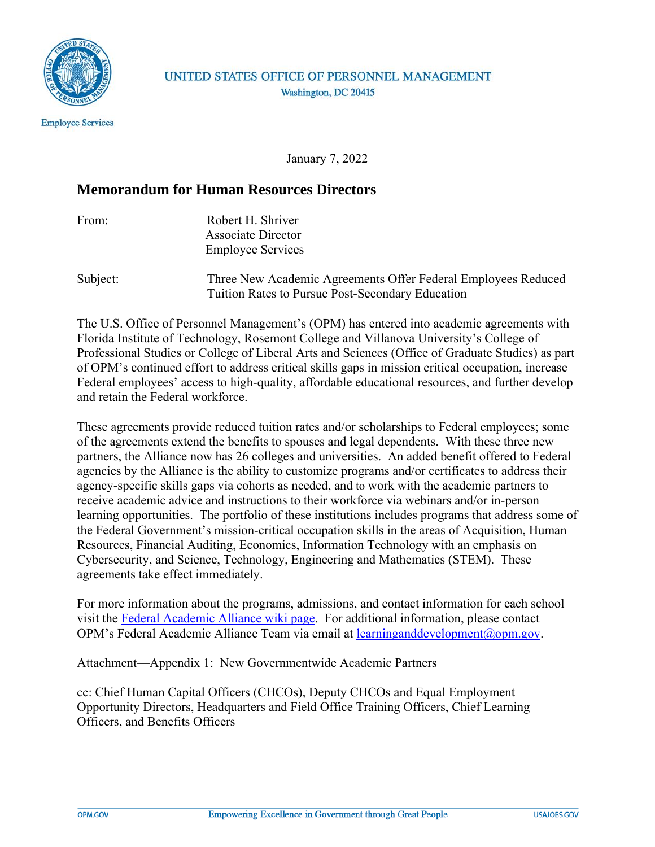

### UNITED STATES OFFICE OF PERSONNEL MANAGEMENT Washington, DC 20415

January 7, 2022

## **Memorandum for Human Resources Directors**

| From: | Robert H. Shriver        |
|-------|--------------------------|
|       | Associate Director       |
|       | <b>Employee Services</b> |

Subject:Three New Academic Agreements Offer Federal Employees Reduced Tuition Rates to Pursue Post-Secondary Education

The U.S. Office of Personnel Management's (OPM) has entered into academic agreements with Florida Institute of Technology, Rosemont College and Villanova University's College of Professional Studies or College of Liberal Arts and Sciences (Office of Graduate Studies) as part of OPM's continued effort to address critical skills gaps in mission critical occupation, increase Federal employees' access to high-quality, affordable educational resources, and further develop and retain the Federal workforce.

These agreements provide reduced tuition rates and/or scholarships to Federal employees; some of the agreements extend the benefits to spouses and legal dependents. With these three new partners, the Alliance now has 26 colleges and universities. An added benefit offered to Federal agencies by the Alliance is the ability to customize programs and/or certificates to address their agency-specific skills gaps via cohorts as needed, and to work with the academic partners to receive academic advice and instructions to their workforce via webinars and/or in-person learning opportunities. The portfolio of these institutions includes programs that address some of the Federal Government's mission-critical occupation skills in the areas of Acquisition, Human Resources, Financial Auditing, Economics, Information Technology with an emphasis on Cybersecurity, and Science, Technology, Engineering and Mathematics (STEM). These agreements take effect immediately.

For more information about the programs, admissions, and contact information for each school visit the [Federal Academic Alliance wiki page.](https://go.usa.gov/xN545) For additional information, please contact OPM's Federal Academic Alliance Team via email at [learninganddevelopment@opm.gov.](mailto:learninganddevelopment@opm.gov)

Attachment—Appendix 1: New Governmentwide Academic Partners

cc: Chief Human Capital Officers (CHCOs), Deputy CHCOs and Equal Employment Opportunity Directors, Headquarters and Field Office Training Officers, Chief Learning Officers, and Benefits Officers